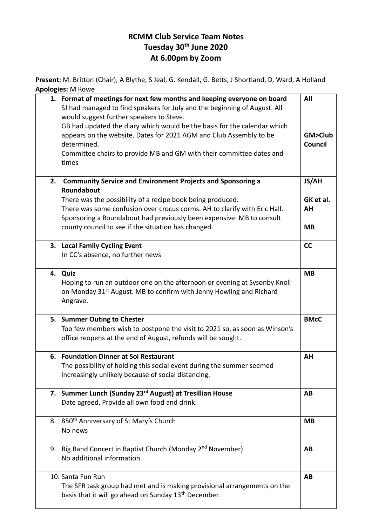## **RCMM Club Service Team Notes Tuesday 30th June 2020 At 6.00pm by Zoom**

**Present:** M. Britton (Chair), A Blythe, S Jeal, G. Kendall, G. Betts, J Shortland, D, Ward, A Holland **Apologies:** M Rowe

|    | 1. Format of meetings for next few months and keeping everyone on board<br>SJ had managed to find speakers for July and the beginning of August. All<br>would suggest further speakers to Steve.<br>GB had updated the diary which would be the basis for the calendar which<br>appears on the website. Dates for 2021 AGM and Club Assembly to be<br>determined.<br>Committee chairs to provide MB and GM with their committee dates and<br>times | All<br>GM>Club<br>Council    |
|----|----------------------------------------------------------------------------------------------------------------------------------------------------------------------------------------------------------------------------------------------------------------------------------------------------------------------------------------------------------------------------------------------------------------------------------------------------|------------------------------|
| 2. | <b>Community Service and Environment Projects and Sponsoring a</b><br>Roundabout                                                                                                                                                                                                                                                                                                                                                                   | JS/AH                        |
|    | There was the possibility of a recipe book being produced.<br>There was some confusion over crocus corms. AH to clarify with Eric Hall.<br>Sponsoring a Roundabout had previously been expensive. MB to consult<br>county council to see if the situation has changed.                                                                                                                                                                             | GK et al.<br>AH<br><b>MB</b> |
|    | 3. Local Family Cycling Event<br>In CC's absence, no further news                                                                                                                                                                                                                                                                                                                                                                                  | <b>CC</b>                    |
|    | 4. Quiz<br>Hoping to run an outdoor one on the afternoon or evening at Sysonby Knoll<br>on Monday 31 <sup>st</sup> August. MB to confirm with Jenny Howling and Richard<br>Angrave.                                                                                                                                                                                                                                                                | <b>MB</b>                    |
|    | 5. Summer Outing to Chester<br>Too few members wish to postpone the visit to 2021 so, as soon as Winson's<br>office reopens at the end of August, refunds will be sought.                                                                                                                                                                                                                                                                          | <b>BMcC</b>                  |
| 6. | <b>Foundation Dinner at Soi Restaurant</b><br>The possibility of holding this social event during the summer seemed<br>increasingly unlikely because of social distancing.                                                                                                                                                                                                                                                                         | AH                           |
|    | 7. Summer Lunch (Sunday 23rd August) at Tresillian House<br>Date agreed. Provide all own food and drink.                                                                                                                                                                                                                                                                                                                                           | AB                           |
|    | 8. 850 <sup>th</sup> Anniversary of St Mary's Church<br>No news                                                                                                                                                                                                                                                                                                                                                                                    | <b>MB</b>                    |
|    | 9. Big Band Concert in Baptist Church (Monday 2 <sup>nd</sup> November)<br>No additional information.                                                                                                                                                                                                                                                                                                                                              | AB                           |
|    | 10. Santa Fun Run<br>The SFR task group had met and is making provisional arrangements on the<br>basis that it will go ahead on Sunday 13 <sup>th</sup> December.                                                                                                                                                                                                                                                                                  | AB                           |